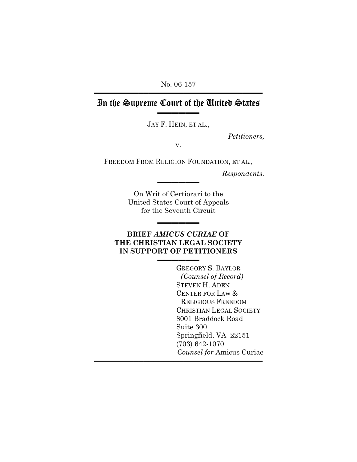No. 06-157 ══════════════════════════════════

## In the Supreme Court of the United States ▬▬▬▬▬▬

JAY F. HEIN, ET AL.,

*Petitioners,*

v.

FREEDOM FROM RELIGION FOUNDATION, ET AL.,

*Respondents.*

On Writ of Certiorari to the United States Court of Appeals for the Seventh Circuit

▬▬▬▬▬▬

▬▬▬▬▬▬

### **BRIEF** *AMICUS CURIAE* **OF THE CHRISTIAN LEGAL SOCIETY IN SUPPORT OF PETITIONERS**

▬▬▬▬▬▬

══════════════════════════════════

GREGORY S. BAYLOR *(Counsel of Record)* STEVEN H. ADEN CENTER FOR LAW & RELIGIOUS FREEDOM CHRISTIAN LEGAL SOCIETY 8001 Braddock Road Suite 300 Springfield, VA 22151 (703) 642-1070 *Counsel for* Amicus Curiae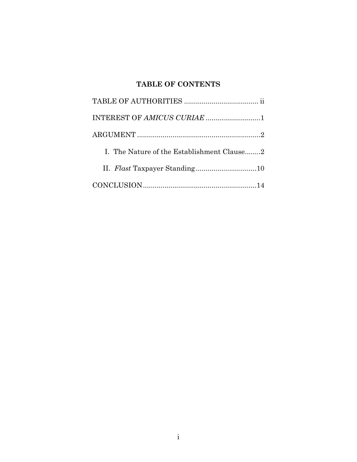## **TABLE OF CONTENTS**

| I. The Nature of the Establishment Clause2 |
|--------------------------------------------|
|                                            |
|                                            |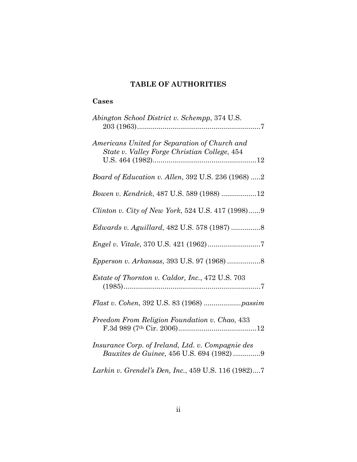### **TABLE OF AUTHORITIES**

## **Cases**

| Abington School District v. Schempp, 374 U.S.                                                 |
|-----------------------------------------------------------------------------------------------|
| Americans United for Separation of Church and<br>State v. Valley Forge Christian College, 454 |
| <i>Board of Education v. Allen, 392 U.S. 236 (1968) 2</i>                                     |
| Bowen v. Kendrick, 487 U.S. 589 (1988) 12                                                     |
| Clinton v. City of New York, 524 U.S. 417 (1998)9                                             |
|                                                                                               |
|                                                                                               |
|                                                                                               |
| <i>Estate of Thornton v. Caldor, Inc., 472 U.S. 703</i>                                       |
|                                                                                               |
| Freedom From Religion Foundation v. Chao, 433                                                 |
| Insurance Corp. of Ireland, Ltd. v. Compagnie des<br>Bauxites de Guinee, 456 U.S. 694 (1982)9 |
| Larkin v. Grendel's Den, Inc., 459 U.S. 116 (1982)7                                           |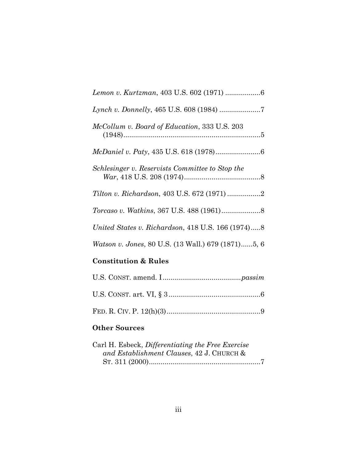| McCollum v. Board of Education, 333 U.S. 203              |
|-----------------------------------------------------------|
|                                                           |
| Schlesinger v. Reservists Committee to Stop the           |
|                                                           |
| <i>Torcaso v. Watkins, 367 U.S. 488 (1961)</i> 8          |
| United States v. Richardson, 418 U.S. 166 (1974)8         |
| <i>Watson v. Jones, 80 U.S. (13 Wall.) 679 (1871)5, 6</i> |
|                                                           |

# **Constitution & Rules**

## **Other Sources**

| Carl H. Esbeck, Differentiating the Free Exercise |  |
|---------------------------------------------------|--|
| and Establishment Clauses, 42 J. CHURCH &         |  |
|                                                   |  |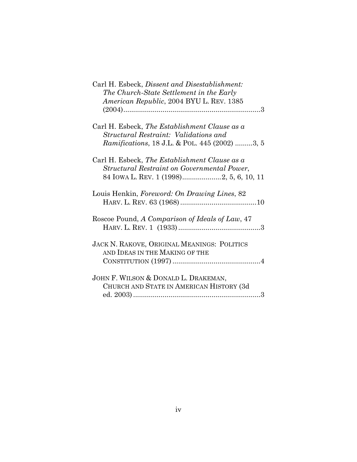| Carl H. Esbeck, Dissent and Disestablishment:<br>The Church-State Settlement in the Early<br>American Republic, 2004 BYU L. REV. 1385              |
|----------------------------------------------------------------------------------------------------------------------------------------------------|
| Carl H. Esbeck, The Establishment Clause as a<br>Structural Restraint: Validations and<br><i>Ramifications, 18 J.L. &amp; POL. 445 (2002) 3, 5</i> |
| Carl H. Esbeck, The Establishment Clause as a<br>Structural Restraint on Governmental Power,<br>84 IOWA L. REV. 1 (1998)2, 5, 6, 10, 11            |
| Louis Henkin, Foreword: On Drawing Lines, 82                                                                                                       |
| Roscoe Pound, A Comparison of Ideals of Law, 47                                                                                                    |
| <b>JACK N. RAKOVE, ORIGINAL MEANINGS: POLITICS</b><br>AND IDEAS IN THE MAKING OF THE                                                               |
| JOHN F. WILSON & DONALD L. DRAKEMAN,<br>CHURCH AND STATE IN AMERICAN HISTORY (3d                                                                   |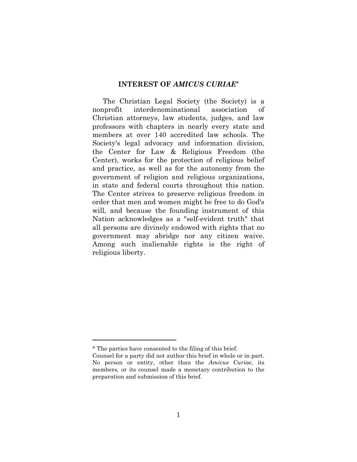### **INTEREST OF** *AMICUS CURIAE\**

The Christian Legal Society (the Society) is a nonprofit interdenominational association of Christian attorneys, law students, judges, and law professors with chapters in nearly every state and members at over 140 accredited law schools. The Society's legal advocacy and information division, the Center for Law & Religious Freedom (the Center), works for the protection of religious belief and practice, as well as for the autonomy from the government of religion and religious organizations, in state and federal courts throughout this nation. The Center strives to preserve religious freedom in order that men and women might be free to do God's will, and because the founding instrument of this Nation acknowledges as a "self-evident truth" that all persons are divinely endowed with rights that no government may abridge nor any citizen waive. Among such inalienable rights is the right of religious liberty.

<sup>\*</sup> The parties have consented to the filing of this brief.

Counsel for a party did not author this brief in whole or in part. No person or entity, other than the *Amicus Curiae*, its members, or its counsel made a monetary contribution to the preparation and submission of this brief.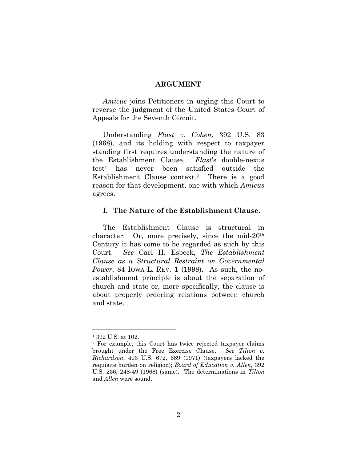#### **ARGUMENT**

*Amicus* joins Petitioners in urging this Court to reverse the judgment of the United States Court of Appeals for the Seventh Circuit.

Understanding *Flast v. Cohen*, 392 U.S. 83 (1968), and its holding with respect to taxpayer standing first requires understanding the nature of the Establishment Clause. *Flast*'s double-nexus test1 has never been satisfied outside the Establishment Clause context.2 There is a good reason for that development, one with which *Amicus* agrees.

#### **I. The Nature of the Establishment Clause.**

The Establishment Clause is structural in character. Or, more precisely, since the mid-20th Century it has come to be regarded as such by this Court. *See* Carl H. Esbeck, *The Establishment Clause as a Structural Restraint on Governmental Power*, 84 IOWA L. REV. 1 (1998). As such, the noestablishment principle is about the separation of church and state or, more specifically, the clause is about properly ordering relations between church and state.

<sup>1 392</sup> U.S. at 102.

<sup>2</sup> For example, this Court has twice rejected taxpayer claims brought under the Free Exercise Clause. *See Tilton v. Richardson*, 403 U.S. 672, 689 (1971) (taxpayers lacked the requisite burden on religion); *Board of Education v. Allen*, 392 U.S. 236, 248-49 (1968) (same). The determinations in *Tilton* and *Allen* were sound.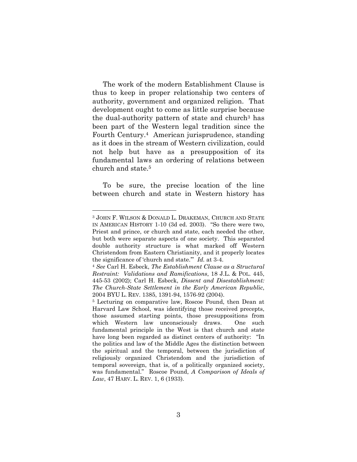The work of the modern Establishment Clause is thus to keep in proper relationship two centers of authority, government and organized religion. That development ought to come as little surprise because the dual-authority pattern of state and church<sup>3</sup> has been part of the Western legal tradition since the Fourth Century.4 American jurisprudence, standing as it does in the stream of Western civilization, could not help but have as a presupposition of its fundamental laws an ordering of relations between church and state.5

To be sure, the precise location of the line between church and state in Western history has

<sup>3</sup> JOHN F. WILSON & DONALD L. DRAKEMAN, CHURCH AND STATE IN AMERICAN HISTORY 1-10 (3d ed. 2003). "So there were two, Priest and prince, or church and state, each needed the other, but both were separate aspects of one society. This separated double authority structure is what marked off Western Christendom from Eastern Christianity, and it properly locates the significance of 'church and state.'" *Id.* at 3-4. 4 *See* Carl H. Esbeck, *The Establishment Clause as a Structural* 

*Restraint: Validations and Ramifications*, 18 J.L. & POL. 445, 445-53 (2002); Carl H. Esbeck, *Dissent and Disestablishment: The Church-State Settlement in the Early American Republic*, 2004 BYU L. REV. 1385, 1391-94, 1576-92 (2004).

<sup>5</sup> Lecturing on comparative law, Roscoe Pound, then Dean at Harvard Law School, was identifying those received precepts, those assumed starting points, those presuppositions from which Western law unconsciously draws. One such fundamental principle in the West is that church and state have long been regarded as distinct centers of authority: "In the politics and law of the Middle Ages the distinction between the spiritual and the temporal, between the jurisdiction of religiously organized Christendom and the jurisdiction of temporal sovereign, that is, of a politically organized society, was fundamental." Roscoe Pound, *A Comparison of Ideals of Law*, 47 HARV. L. REV. 1, 6 (1933).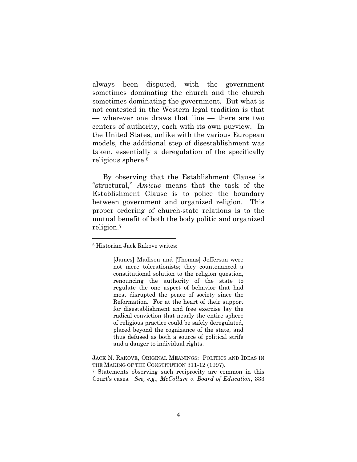always been disputed, with the government sometimes dominating the church and the church sometimes dominating the government. But what is not contested in the Western legal tradition is that — wherever one draws that line — there are two centers of authority, each with its own purview. In the United States, unlike with the various European models, the additional step of disestablishment was taken, essentially a deregulation of the specifically religious sphere.6

By observing that the Establishment Clause is "structural," *Amicus* means that the task of the Establishment Clause is to police the boundary between government and organized religion. This proper ordering of church-state relations is to the mutual benefit of both the body politic and organized religion.7

 $\overline{a}$ 

[James] Madison and [Thomas] Jefferson were not mere tolerationists; they countenanced a constitutional solution to the religion question, renouncing the authority of the state to regulate the one aspect of behavior that had most disrupted the peace of society since the Reformation. For at the heart of their support for disestablishment and free exercise lay the radical conviction that nearly the entire sphere of religious practice could be safely deregulated, placed beyond the cognizance of the state, and thus defused as both a source of political strife and a danger to individual rights.

<sup>6</sup> Historian Jack Rakove writes:

JACK N. RAKOVE, ORIGINAL MEANINGS: POLITICS AND IDEAS IN THE MAKING OF THE CONSTITUTION 311-12 (1997).

<sup>7</sup> Statements observing such reciprocity are common in this Court's cases. *See, e.g.*, *McCollum v. Board of Education*, 333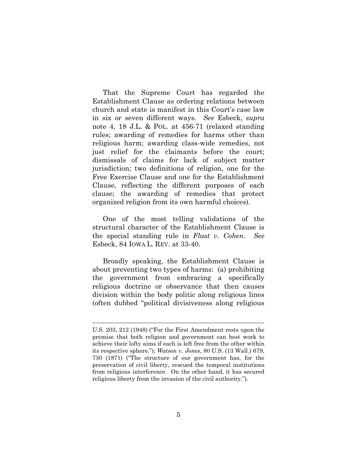That the Supreme Court has regarded the Establishment Clause as ordering relations between church and state is manifest in this Court's case law in six or seven different ways. *See* Esbeck, *supra* note 4, 18 J.L. & POL. at 456-71 (relaxed standing rules; awarding of remedies for harms other than religious harm; awarding class-wide remedies, not just relief for the claimants before the court; dismissals of claims for lack of subject matter jurisdiction; two definitions of religion, one for the Free Exercise Clause and one for the Establishment Clause, reflecting the different purposes of each clause; the awarding of remedies that protect organized religion from its own harmful choices).

One of the most telling validations of the structural character of the Establishment Clause is the special standing rule in *Flast v. Cohen*. *See* Esbeck, 84 IOWA L. REV. at 33-40.

Broadly speaking, the Establishment Clause is about preventing two types of harms: (a) prohibiting the government from embracing a specifically religious doctrine or observance that then causes division within the body politic along religious lines (often dubbed "political divisiveness along religious

U.S. 203, 212 (1948) ("For the First Amendment rests upon the premise that both religion and government can best work to achieve their lofty aims if each is left free from the other within its respective sphere."); *Watson v. Jones*, 80 U.S. (13 Wall.) 679, 730 (1871) ("The structure of our government has, for the preservation of civil liberty, rescued the temporal institutions from religious interference. On the other hand, it has secured religious liberty from the invasion of the civil authority.").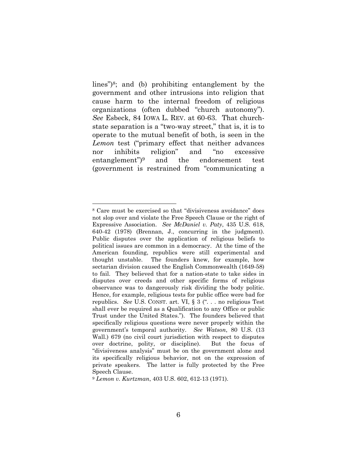lines")8; and (b) prohibiting entanglement by the government and other intrusions into religion that cause harm to the internal freedom of religious organizations (often dubbed "church autonomy"). *See* Esbeck, 84 IOWA L. REV. at 60-63. That churchstate separation is a "two-way street," that is, it is to operate to the mutual benefit of both, is seen in the *Lemon* test ("primary effect that neither advances nor inhibits religion" and "no excessive entanglement")9 and the endorsement test (government is restrained from "communicating a

<sup>8</sup> Care must be exercised so that "divisiveness avoidance" does not slop over and violate the Free Speech Clause or the right of Expressive Association. *See McDaniel v. Paty*, 435 U.S. 618, 640-42 (1978) (Brennan, J., concurring in the judgment). Public disputes over the application of religious beliefs to political issues are common in a democracy. At the time of the American founding, republics were still experimental and thought unstable. The founders knew, for example, how sectarian division caused the English Commonwealth (1649-58) to fail. They believed that for a nation-state to take sides in disputes over creeds and other specific forms of religious observance was to dangerously risk dividing the body politic. Hence, for example, religious tests for public office were bad for republics. *See* U.S. CONST. art. VI, § 3 (". . . no religious Test shall ever be required as a Qualification to any Office or public Trust under the United States."). The founders believed that specifically religious questions were never properly within the government's temporal authority. *See Watson*, 80 U.S. (13 Wall.) 679 (no civil court jurisdiction with respect to disputes over doctrine, polity, or discipline). But the focus of "divisiveness analysis" must be on the government alone and its specifically religious behavior, not on the expression of private speakers. The latter is fully protected by the Free Speech Clause.

<sup>9</sup> *Lemon v. Kurtzman*, 403 U.S. 602, 612-13 (1971).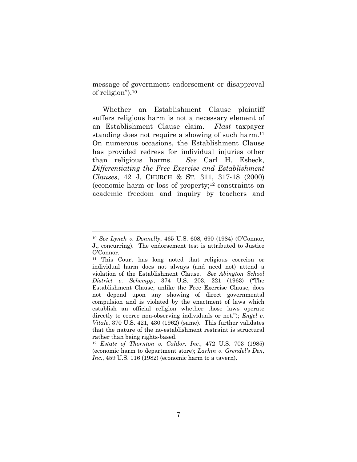message of government endorsement or disapproval of religion").10

Whether an Establishment Clause plaintiff suffers religious harm is not a necessary element of an Establishment Clause claim. *Flast* taxpayer standing does not require a showing of such harm.<sup>11</sup> On numerous occasions, the Establishment Clause has provided redress for individual injuries other than religious harms. *See* Carl H. Esbeck, *Differentiating the Free Exercise and Establishment Clauses*, 42 J. CHURCH & ST. 311, 317-18 (2000) (economic harm or loss of property; $12$  constraints on academic freedom and inquiry by teachers and

<sup>10</sup> *See Lynch v. Donnelly*, 465 U.S. 608, 690 (1984) (O'Connor, J., concurring). The endorsement test is attributed to Justice O'Connor.

<sup>11</sup> This Court has long noted that religious coercion or individual harm does not always (and need not) attend a violation of the Establishment Clause. *See Abington School District v. Schempp*, 374 U.S. 203, 221 (1963) ("The Establishment Clause, unlike the Free Exercise Clause, does not depend upon any showing of direct governmental compulsion and is violated by the enactment of laws which establish an official religion whether those laws operate directly to coerce non-observing individuals or not."); *Engel v. Vitale*, 370 U.S. 421, 430 (1962) (same). This further validates that the nature of the no-establishment restraint is structural rather than being rights-based.

<sup>12</sup> *Estate of Thornton v. Caldor, Inc.*, 472 U.S. 703 (1985) (economic harm to department store); *Larkin v. Grendel's Den, Inc.*, 459 U.S. 116 (1982) (economic harm to a tavern).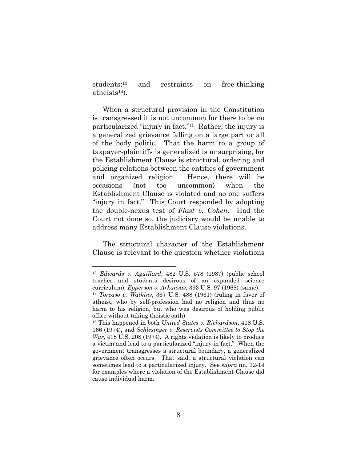students;13 and restraints on free-thinking atheists14).

When a structural provision in the Constitution is transgressed it is not uncommon for there to be no particularized "injury in fact."15 Rather, the injury is a generalized grievance falling on a large part or all of the body politic. That the harm to a group of taxpayer-plaintiffs is generalized is unsurprising, for the Establishment Clause is structural, ordering and policing relations between the entities of government and organized religion. Hence, there will be occasions (not too uncommon) when the Establishment Clause is violated and no one suffers "injury in fact." This Court responded by adopting the double-nexus test of *Flast v. Cohen*. Had the Court not done so, the judiciary would be unable to address many Establishment Clause violations.

The structural character of the Establishment Clause is relevant to the question whether violations

<sup>13</sup> *Edwards v. Aguillard*, 482 U.S. 578 (1987) (public school teacher and students desirous of an expanded science curriculum); *Epperson v. Arkansas*, 393 U.S. 97 (1968) (same). 14 *Torcaso v. Watkins*, 367 U.S. 488 (1961) (ruling in favor of

atheist, who by self-profession had no religion and thus no harm to his religion, but who was desirous of holding public office without taking theistic oath).

<sup>15</sup> This happened in both *United States v. Richardson*, 418 U.S. 166 (1974), and *Schlesinger v. Reservists Committee to Stop the War*, 418 U.S. 208 (1974). A rights violation is likely to produce a victim and lead to a particularized "injury in fact." When the government transgresses a structural boundary, a generalized grievance often occurs. That said, a structural violation can sometimes lead to a particularized injury. See *supra* nn. 12-14 for examples where a violation of the Establishment Clause did cause individual harm.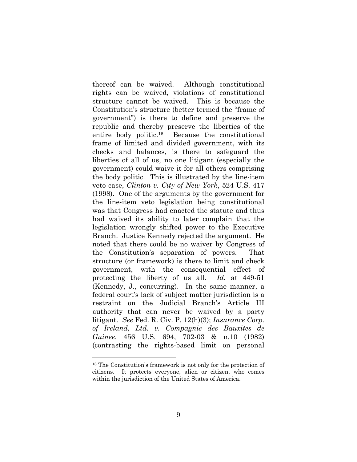thereof can be waived. Although constitutional rights can be waived, violations of constitutional structure cannot be waived. This is because the Constitution's structure (better termed the "frame of government") is there to define and preserve the republic and thereby preserve the liberties of the entire body politic.16 Because the constitutional frame of limited and divided government, with its checks and balances, is there to safeguard the liberties of all of us, no one litigant (especially the government) could waive it for all others comprising the body politic. This is illustrated by the line-item veto case, *Clinton v. City of New York*, 524 U.S. 417 (1998). One of the arguments by the government for the line-item veto legislation being constitutional was that Congress had enacted the statute and thus had waived its ability to later complain that the legislation wrongly shifted power to the Executive Branch. Justice Kennedy rejected the argument. He noted that there could be no waiver by Congress of the Constitution's separation of powers. That structure (or framework) is there to limit and check government, with the consequential effect of protecting the liberty of us all. *Id.* at 449-51 (Kennedy, J., concurring). In the same manner, a federal court's lack of subject matter jurisdiction is a restraint on the Judicial Branch's Article III authority that can never be waived by a party litigant. *See* Fed. R. Civ. P. 12(h)(3); *Insurance Corp. of Ireland, Ltd. v. Compagnie des Bauxites de Guinee*, 456 U.S. 694, 702-03 & n.10 (1982) (contrasting the rights-based limit on personal

<sup>16</sup> The Constitution's framework is not only for the protection of citizens. It protects everyone, alien or citizen, who comes within the jurisdiction of the United States of America.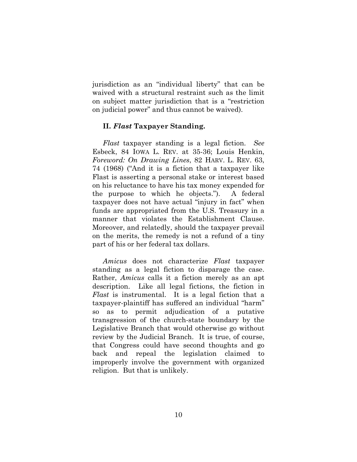jurisdiction as an "individual liberty" that can be waived with a structural restraint such as the limit on subject matter jurisdiction that is a "restriction on judicial power" and thus cannot be waived).

### **II.** *Flast* **Taxpayer Standing.**

*Flast* taxpayer standing is a legal fiction. *See* Esbeck, 84 IOWA L. REV. at 35-36; Louis Henkin, *Foreword: On Drawing Lines*, 82 HARV. L. REV. 63, 74 (1968) ("And it is a fiction that a taxpayer like Flast is asserting a personal stake or interest based on his reluctance to have his tax money expended for the purpose to which he objects."). A federal taxpayer does not have actual "injury in fact" when funds are appropriated from the U.S. Treasury in a manner that violates the Establishment Clause. Moreover, and relatedly, should the taxpayer prevail on the merits, the remedy is not a refund of a tiny part of his or her federal tax dollars.

*Amicus* does not characterize *Flast* taxpayer standing as a legal fiction to disparage the case. Rather, *Amicus* calls it a fiction merely as an apt description. Like all legal fictions, the fiction in *Flast* is instrumental. It is a legal fiction that a taxpayer-plaintiff has suffered an individual "harm" so as to permit adjudication of a putative transgression of the church-state boundary by the Legislative Branch that would otherwise go without review by the Judicial Branch. It is true, of course, that Congress could have second thoughts and go back and repeal the legislation claimed to improperly involve the government with organized religion. But that is unlikely.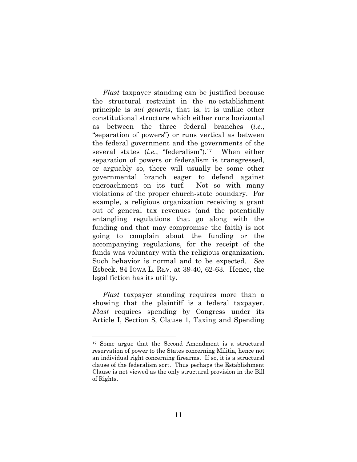*Flast* taxpayer standing can be justified because the structural restraint in the no-establishment principle is *sui generis*, that is, it is unlike other constitutional structure which either runs horizontal as between the three federal branches (*i.e.*, "separation of powers") or runs vertical as between the federal government and the governments of the several states (*i.e.*, "federalism").17 When either separation of powers or federalism is transgressed, or arguably so, there will usually be some other governmental branch eager to defend against encroachment on its turf. Not so with many violations of the proper church-state boundary. For example, a religious organization receiving a grant out of general tax revenues (and the potentially entangling regulations that go along with the funding and that may compromise the faith) is not going to complain about the funding or the accompanying regulations, for the receipt of the funds was voluntary with the religious organization. Such behavior is normal and to be expected. *See* Esbeck, 84 IOWA L. REV. at 39-40, 62-63. Hence, the legal fiction has its utility.

*Flast* taxpayer standing requires more than a showing that the plaintiff is a federal taxpayer. *Flast* requires spending by Congress under its Article I, Section 8, Clause 1, Taxing and Spending

<sup>17</sup> Some argue that the Second Amendment is a structural reservation of power to the States concerning Militia, hence not an individual right concerning firearms. If so, it is a structural clause of the federalism sort. Thus perhaps the Establishment Clause is not viewed as the only structural provision in the Bill of Rights.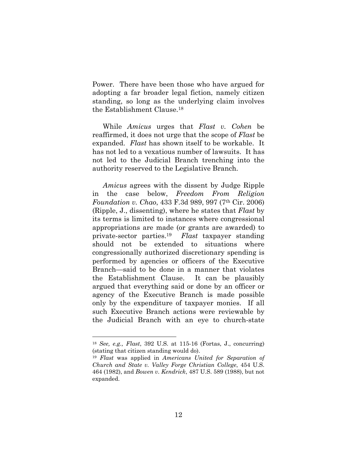Power. There have been those who have argued for adopting a far broader legal fiction, namely citizen standing, so long as the underlying claim involves the Establishment Clause.18

While *Amicus* urges that *Flast v. Cohen* be reaffirmed, it does not urge that the scope of *Flast* be expanded. *Flast* has shown itself to be workable. It has not led to a vexatious number of lawsuits. It has not led to the Judicial Branch trenching into the authority reserved to the Legislative Branch.

*Amicus* agrees with the dissent by Judge Ripple in the case below, *Freedom From Religion Foundation v. Chao*, 433 F.3d 989, 997 (7th Cir. 2006) (Ripple, J., dissenting), where he states that *Flast* by its terms is limited to instances where congressional appropriations are made (or grants are awarded) to private-sector parties.19 *Flast* taxpayer standing should not be extended to situations where congressionally authorized discretionary spending is performed by agencies or officers of the Executive Branch—said to be done in a manner that violates the Establishment Clause. It can be plausibly argued that everything said or done by an officer or agency of the Executive Branch is made possible only by the expenditure of taxpayer monies. If all such Executive Branch actions were reviewable by the Judicial Branch with an eye to church-state

<sup>18</sup> *See, e.g., Flast*, 392 U.S. at 115-16 (Fortas, J., concurring) (stating that citizen standing would do).

<sup>19</sup> *Flast* was applied in *Americans United for Separation of Church and State v. Valley Forge Christian College*, 454 U.S. 464 (1982), and *Bowen v. Kendrick*, 487 U.S. 589 (1988), but not expanded.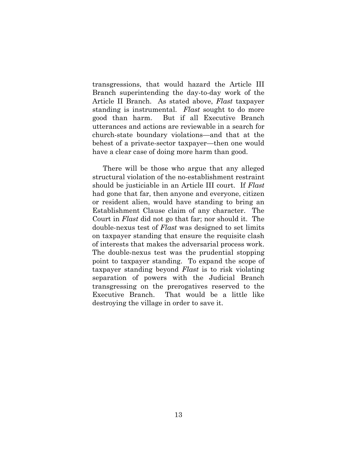transgressions, that would hazard the Article III Branch superintending the day-to-day work of the Article II Branch. As stated above, *Flast* taxpayer standing is instrumental. *Flast* sought to do more good than harm. But if all Executive Branch utterances and actions are reviewable in a search for church-state boundary violations—and that at the behest of a private-sector taxpayer—then one would have a clear case of doing more harm than good.

There will be those who argue that any alleged structural violation of the no-establishment restraint should be justiciable in an Article III court. If *Flast* had gone that far, then anyone and everyone, citizen or resident alien, would have standing to bring an Establishment Clause claim of any character. The Court in *Flast* did not go that far; nor should it. The double-nexus test of *Flast* was designed to set limits on taxpayer standing that ensure the requisite clash of interests that makes the adversarial process work. The double-nexus test was the prudential stopping point to taxpayer standing. To expand the scope of taxpayer standing beyond *Flast* is to risk violating separation of powers with the Judicial Branch transgressing on the prerogatives reserved to the Executive Branch. That would be a little like destroying the village in order to save it.